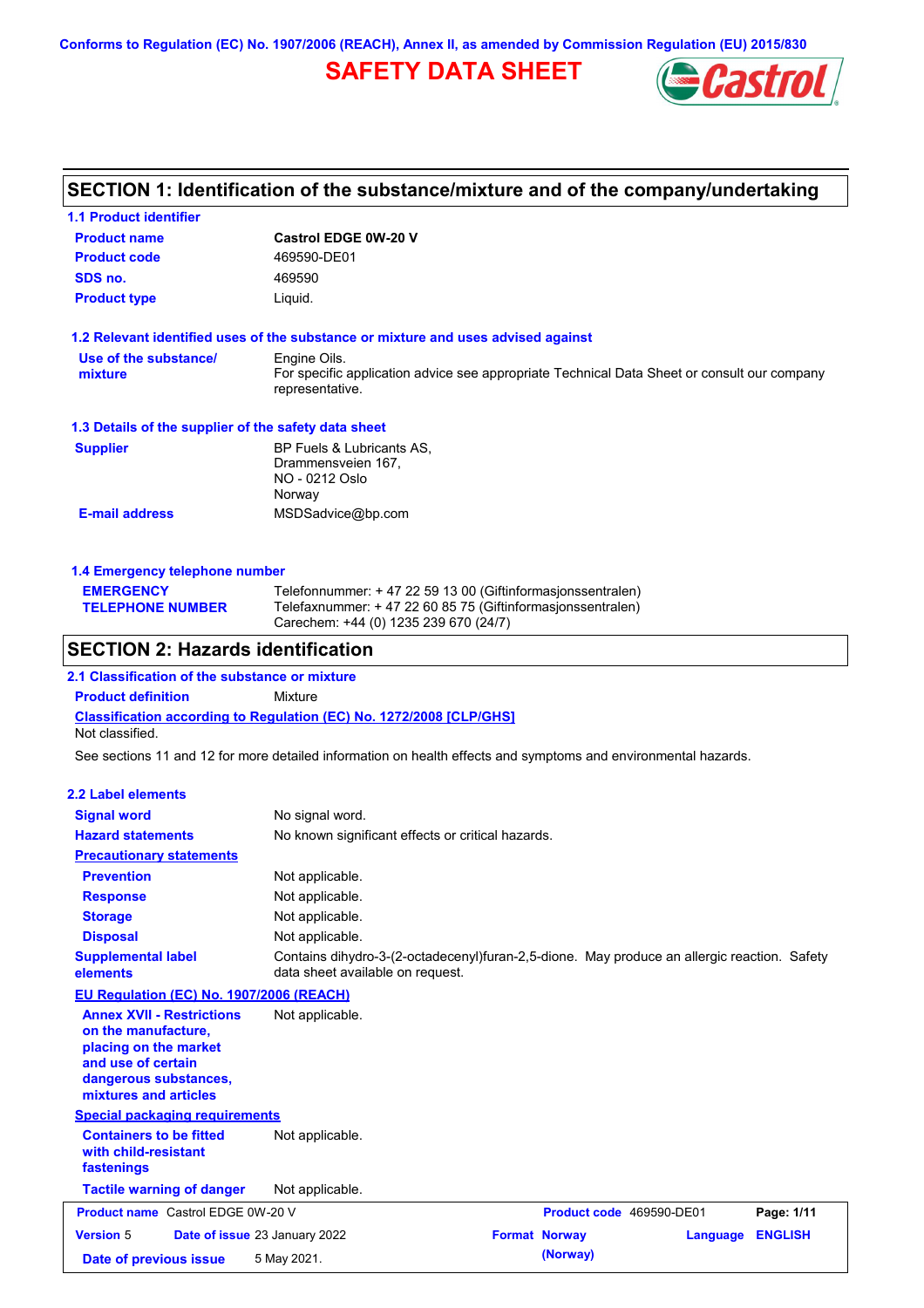**Conforms to Regulation (EC) No. 1907/2006 (REACH), Annex II, as amended by Commission Regulation (EU) 2015/830**

## **SAFETY DATA SHEET**



# **SECTION 1: Identification of the substance/mixture and of the company/undertaking**

| 1.1 Product identifier                               |                                                                                                                                                                    |
|------------------------------------------------------|--------------------------------------------------------------------------------------------------------------------------------------------------------------------|
| <b>Product name</b>                                  | <b>Castrol EDGE 0W-20 V</b>                                                                                                                                        |
| <b>Product code</b>                                  | 469590-DE01                                                                                                                                                        |
| SDS no.                                              | 469590                                                                                                                                                             |
| <b>Product type</b>                                  | Liquid.                                                                                                                                                            |
|                                                      | 1.2 Relevant identified uses of the substance or mixture and uses advised against                                                                                  |
| Use of the substance/<br>mixture                     | Engine Oils.<br>For specific application advice see appropriate Technical Data Sheet or consult our company<br>representative.                                     |
| 1.3 Details of the supplier of the safety data sheet |                                                                                                                                                                    |
| <b>Supplier</b>                                      | BP Fuels & Lubricants AS,<br>Drammensveien 167,<br>NO - 0212 Oslo<br>Norway                                                                                        |
| <b>E-mail address</b>                                | MSDSadvice@bp.com                                                                                                                                                  |
| 1.4 Emergency telephone number                       |                                                                                                                                                                    |
| <b>EMERGENCY</b><br><b>TELEPHONE NUMBER</b>          | Telefonnummer: +47 22 59 13 00 (Giftinformasjonssentralen)<br>Telefaxnummer: + 47 22 60 85 75 (Giftinformasjonssentralen)<br>Carechem: +44 (0) 1235 239 670 (24/7) |
| <b>SECTION 2: Hazards identification</b>             |                                                                                                                                                                    |
| 2.1 Classification of the substance or mixture       |                                                                                                                                                                    |
| <b>Product definition</b>                            | Mixture                                                                                                                                                            |
| Not classified.                                      | <b>Classification according to Regulation (EC) No. 1272/2008 [CLP/GHS]</b>                                                                                         |
|                                                      | See sections 11 and 12 for more detailed information on health effects and symptoms and environmental hazards.                                                     |
| 2.2 Label elements                                   |                                                                                                                                                                    |
| <b>Signal word</b>                                   | No signal word.                                                                                                                                                    |
| <b>Hazard statements</b>                             | No known significant effects or critical hazards.                                                                                                                  |
| <b>Precautionary statements</b>                      |                                                                                                                                                                    |
| <b>Dravantion</b>                                    | Not annlicable                                                                                                                                                     |

| <b>Prevention</b>                                                                                                                                        | Not applicable.                                                                                                                 |  |
|----------------------------------------------------------------------------------------------------------------------------------------------------------|---------------------------------------------------------------------------------------------------------------------------------|--|
| <b>Response</b>                                                                                                                                          | Not applicable.                                                                                                                 |  |
| <b>Storage</b>                                                                                                                                           | Not applicable.                                                                                                                 |  |
| <b>Disposal</b>                                                                                                                                          | Not applicable.                                                                                                                 |  |
| <b>Supplemental label</b><br>elements                                                                                                                    | Contains dihydro-3-(2-octadecenyl)furan-2,5-dione. May produce an allergic reaction. Safety<br>data sheet available on request. |  |
| EU Regulation (EC) No. 1907/2006 (REACH)                                                                                                                 |                                                                                                                                 |  |
| <b>Annex XVII - Restrictions</b><br>on the manufacture,<br>placing on the market<br>and use of certain<br>dangerous substances,<br>mixtures and articles | Not applicable.                                                                                                                 |  |
| <b>Special packaging requirements</b>                                                                                                                    |                                                                                                                                 |  |
| <b>Containers to be fitted</b><br>with child-resistant<br>fastenings                                                                                     | Not applicable.                                                                                                                 |  |
| <b>Tactile warning of danger</b>                                                                                                                         | Not applicable.                                                                                                                 |  |
| <b>Product name</b> Castrol EDGE 0W-20 V                                                                                                                 | Product code 469590-DE01<br>Page: 1/11                                                                                          |  |
| <b>Version 5</b>                                                                                                                                         | <b>ENGLISH</b><br>Date of issue 23 January 2022<br><b>Format Norway</b><br>Language                                             |  |
| Date of previous issue                                                                                                                                   | (Norway)<br>5 May 2021.                                                                                                         |  |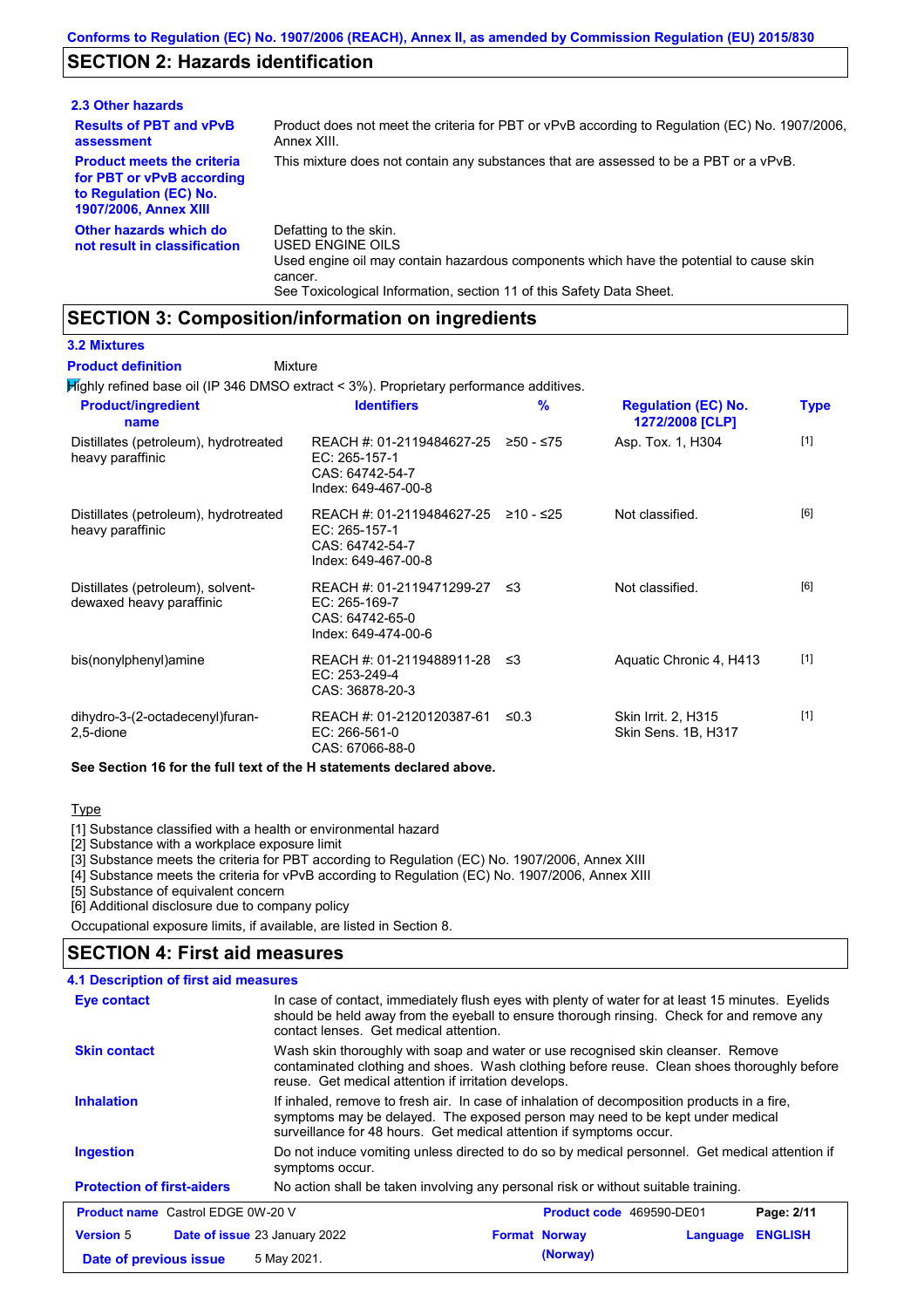### **SECTION 2: Hazards identification**

| 2.3 Other hazards                                                                                                        |                                                                                                                                                                                                                          |
|--------------------------------------------------------------------------------------------------------------------------|--------------------------------------------------------------------------------------------------------------------------------------------------------------------------------------------------------------------------|
| <b>Results of PBT and vPvB</b><br>assessment                                                                             | Product does not meet the criteria for PBT or vPvB according to Regulation (EC) No. 1907/2006.<br>Annex XIII.                                                                                                            |
| <b>Product meets the criteria</b><br>for PBT or vPvB according<br>to Regulation (EC) No.<br><b>1907/2006, Annex XIII</b> | This mixture does not contain any substances that are assessed to be a PBT or a vPvB.                                                                                                                                    |
| Other hazards which do<br>not result in classification                                                                   | Defatting to the skin.<br>USED ENGINE OILS<br>Used engine oil may contain hazardous components which have the potential to cause skin<br>cancer.<br>See Toxicological Information, section 11 of this Safety Data Sheet. |

### **SECTION 3: Composition/information on ingredients**

Mixture

**3.2 Mixtures**

**Product definition**

Highly refined base oil (IP 346 DMSO extract < 3%). Proprietary performance additives.

| <b>Product/ingredient</b><br>name                             | <b>Identifiers</b>                                                                   | $\frac{9}{6}$ | <b>Regulation (EC) No.</b><br>1272/2008 [CLP] | <b>Type</b> |
|---------------------------------------------------------------|--------------------------------------------------------------------------------------|---------------|-----------------------------------------------|-------------|
| Distillates (petroleum), hydrotreated<br>heavy paraffinic     | REACH #: 01-2119484627-25<br>EC: 265-157-1<br>CAS: 64742-54-7<br>Index: 649-467-00-8 | ≥50 - ≤75     | Asp. Tox. 1, H304                             | $[1]$       |
| Distillates (petroleum), hydrotreated<br>heavy paraffinic     | REACH #: 01-2119484627-25<br>EC: 265-157-1<br>CAS: 64742-54-7<br>Index: 649-467-00-8 | ≥10 - ≤25     | Not classified.                               | [6]         |
| Distillates (petroleum), solvent-<br>dewaxed heavy paraffinic | REACH #: 01-2119471299-27<br>EC: 265-169-7<br>CAS: 64742-65-0<br>Index: 649-474-00-6 | -≤3           | Not classified.                               | [6]         |
| bis(nonylphenyl)amine                                         | REACH #: 01-2119488911-28<br>EC: 253-249-4<br>CAS: 36878-20-3                        | ึ ≤3          | Aquatic Chronic 4, H413                       | $[1]$       |
| dihydro-3-(2-octadecenyl)furan-<br>2,5-dione                  | REACH #: 01-2120120387-61<br>EC: 266-561-0<br>CAS: 67066-88-0                        | ≤0.3          | Skin Irrit. 2, H315<br>Skin Sens. 1B, H317    | $[1]$       |

**See Section 16 for the full text of the H statements declared above.**

**Type** 

[1] Substance classified with a health or environmental hazard

[2] Substance with a workplace exposure limit

[3] Substance meets the criteria for PBT according to Regulation (EC) No. 1907/2006, Annex XIII

[4] Substance meets the criteria for vPvB according to Regulation (EC) No. 1907/2006, Annex XIII

[5] Substance of equivalent concern

[6] Additional disclosure due to company policy

Occupational exposure limits, if available, are listed in Section 8.

### **SECTION 4: First aid measures**

| <b>4.1 Description of first aid measures</b> |                                                                                                                                                                                                                                                     |                      |          |                          |                |
|----------------------------------------------|-----------------------------------------------------------------------------------------------------------------------------------------------------------------------------------------------------------------------------------------------------|----------------------|----------|--------------------------|----------------|
| Eye contact                                  | In case of contact, immediately flush eyes with plenty of water for at least 15 minutes. Eyelids<br>should be held away from the eyeball to ensure thorough rinsing. Check for and remove any<br>contact lenses. Get medical attention.             |                      |          |                          |                |
| <b>Skin contact</b>                          | Wash skin thoroughly with soap and water or use recognised skin cleanser. Remove<br>contaminated clothing and shoes. Wash clothing before reuse. Clean shoes thoroughly before<br>reuse. Get medical attention if irritation develops.              |                      |          |                          |                |
| <b>Inhalation</b>                            | If inhaled, remove to fresh air. In case of inhalation of decomposition products in a fire,<br>symptoms may be delayed. The exposed person may need to be kept under medical<br>surveillance for 48 hours. Get medical attention if symptoms occur. |                      |          |                          |                |
| <b>Ingestion</b>                             | Do not induce vomiting unless directed to do so by medical personnel. Get medical attention if<br>symptoms occur.                                                                                                                                   |                      |          |                          |                |
| <b>Protection of first-aiders</b>            | No action shall be taken involving any personal risk or without suitable training.                                                                                                                                                                  |                      |          |                          |                |
| <b>Product name</b> Castrol EDGE 0W-20 V     |                                                                                                                                                                                                                                                     |                      |          | Product code 469590-DE01 | Page: 2/11     |
| <b>Version 5</b>                             | <b>Date of issue 23 January 2022</b>                                                                                                                                                                                                                | <b>Format Norway</b> |          | Language                 | <b>ENGLISH</b> |
| Date of previous issue                       | 5 May 2021.                                                                                                                                                                                                                                         |                      | (Norway) |                          |                |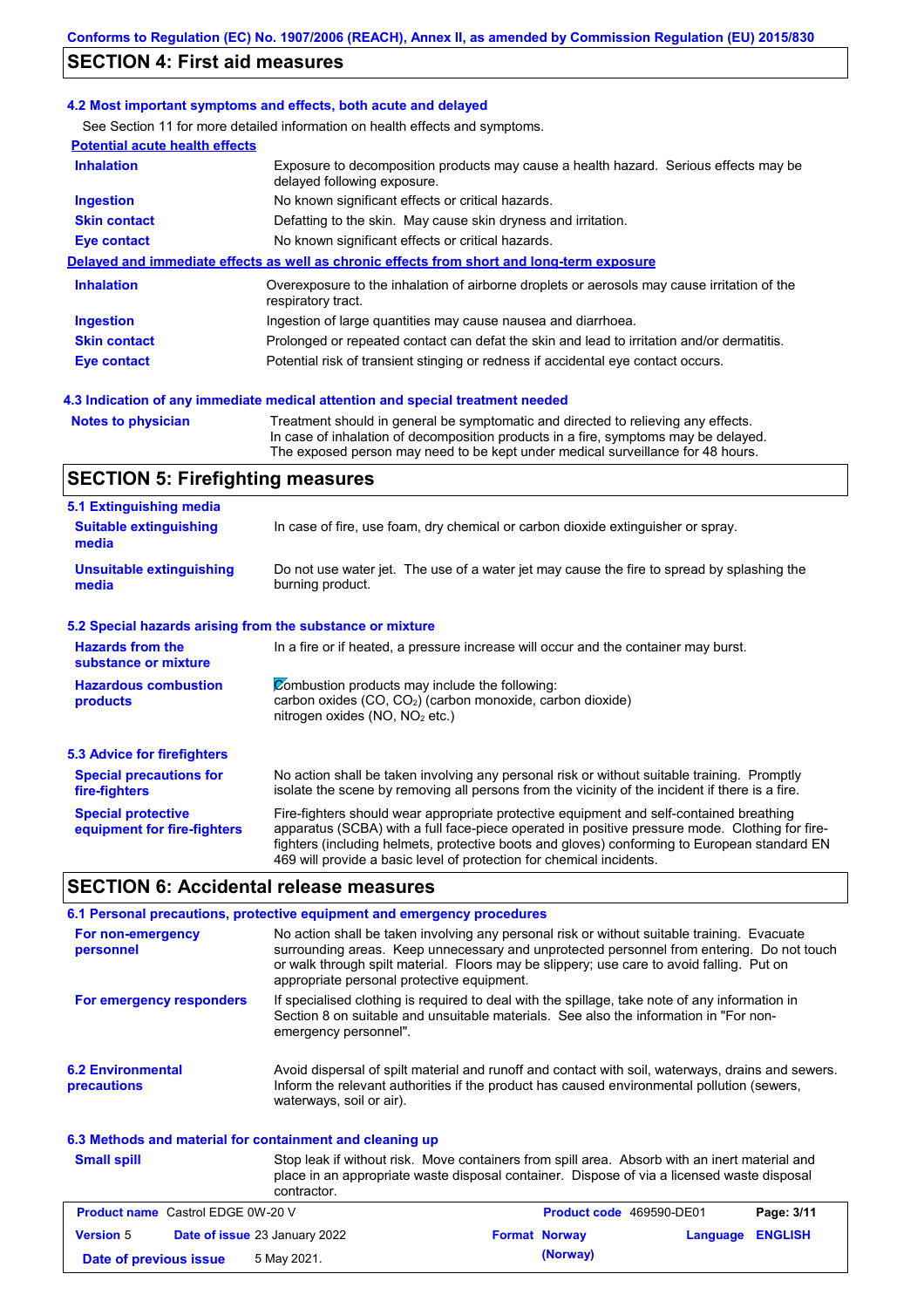### **SECTION 4: First aid measures**

#### **4.2 Most important symptoms and effects, both acute and delayed**

See Section 11 for more detailed information on health effects and symptoms.

| <b>Potential acute health effects</b> |                                                                                                                     |
|---------------------------------------|---------------------------------------------------------------------------------------------------------------------|
| <b>Inhalation</b>                     | Exposure to decomposition products may cause a health hazard. Serious effects may be<br>delayed following exposure. |
| <b>Ingestion</b>                      | No known significant effects or critical hazards.                                                                   |
| <b>Skin contact</b>                   | Defatting to the skin. May cause skin dryness and irritation.                                                       |
| Eye contact                           | No known significant effects or critical hazards.                                                                   |
|                                       | Delayed and immediate effects as well as chronic effects from short and long-term exposure                          |
| <b>Inhalation</b>                     | Overexposure to the inhalation of airborne droplets or aerosols may cause irritation of the<br>respiratory tract.   |
| <b>Ingestion</b>                      | Ingestion of large quantities may cause nausea and diarrhoea.                                                       |
| <b>Skin contact</b>                   | Prolonged or repeated contact can defat the skin and lead to irritation and/or dermatitis.                          |
| Eye contact                           | Potential risk of transient stinging or redness if accidental eye contact occurs.                                   |
|                                       |                                                                                                                     |

### **4.3 Indication of any immediate medical attention and special treatment needed**

```
Notes to physician Treatment should in general be symptomatic and directed to relieving any effects.
                   In case of inhalation of decomposition products in a fire, symptoms may be delayed.
                   The exposed person may need to be kept under medical surveillance for 48 hours.
```
### **SECTION 5: Firefighting measures**

| 5.1 Extinguishing media                                   |                                                                                                                                                                                                                                                                                                                                                                   |  |  |  |
|-----------------------------------------------------------|-------------------------------------------------------------------------------------------------------------------------------------------------------------------------------------------------------------------------------------------------------------------------------------------------------------------------------------------------------------------|--|--|--|
| <b>Suitable extinguishing</b><br>media                    | In case of fire, use foam, dry chemical or carbon dioxide extinguisher or spray.                                                                                                                                                                                                                                                                                  |  |  |  |
| <b>Unsuitable extinguishing</b><br>media                  | Do not use water jet. The use of a water jet may cause the fire to spread by splashing the<br>burning product.                                                                                                                                                                                                                                                    |  |  |  |
| 5.2 Special hazards arising from the substance or mixture |                                                                                                                                                                                                                                                                                                                                                                   |  |  |  |
| <b>Hazards from the</b><br>substance or mixture           | In a fire or if heated, a pressure increase will occur and the container may burst.                                                                                                                                                                                                                                                                               |  |  |  |
| <b>Hazardous combustion</b><br>products                   | Combustion products may include the following:<br>carbon oxides $(CO, CO2)$ (carbon monoxide, carbon dioxide)<br>nitrogen oxides (NO, NO <sub>2</sub> etc.)                                                                                                                                                                                                       |  |  |  |
| 5.3 Advice for firefighters                               |                                                                                                                                                                                                                                                                                                                                                                   |  |  |  |
| <b>Special precautions for</b><br>fire-fighters           | No action shall be taken involving any personal risk or without suitable training. Promptly<br>isolate the scene by removing all persons from the vicinity of the incident if there is a fire.                                                                                                                                                                    |  |  |  |
| <b>Special protective</b><br>equipment for fire-fighters  | Fire-fighters should wear appropriate protective equipment and self-contained breathing<br>apparatus (SCBA) with a full face-piece operated in positive pressure mode. Clothing for fire-<br>fighters (including helmets, protective boots and gloves) conforming to European standard EN<br>469 will provide a basic level of protection for chemical incidents. |  |  |  |

### **SECTION 6: Accidental release measures**

|                                                                                                                                                                                                                                                                                                                                                                       | 6.1 Personal precautions, protective equipment and emergency procedures                                                                                                                                                     |  |  |
|-----------------------------------------------------------------------------------------------------------------------------------------------------------------------------------------------------------------------------------------------------------------------------------------------------------------------------------------------------------------------|-----------------------------------------------------------------------------------------------------------------------------------------------------------------------------------------------------------------------------|--|--|
| No action shall be taken involving any personal risk or without suitable training. Evacuate<br>For non-emergency<br>surrounding areas. Keep unnecessary and unprotected personnel from entering. Do not touch<br>personnel<br>or walk through spilt material. Floors may be slippery; use care to avoid falling. Put on<br>appropriate personal protective equipment. |                                                                                                                                                                                                                             |  |  |
| For emergency responders                                                                                                                                                                                                                                                                                                                                              | If specialised clothing is required to deal with the spillage, take note of any information in<br>Section 8 on suitable and unsuitable materials. See also the information in "For non-<br>emergency personnel".            |  |  |
| <b>6.2 Environmental</b><br><b>precautions</b>                                                                                                                                                                                                                                                                                                                        | Avoid dispersal of spilt material and runoff and contact with soil, waterways, drains and sewers.<br>Inform the relevant authorities if the product has caused environmental pollution (sewers,<br>waterways, soil or air). |  |  |
| 6.3 Methods and material for containment and cleaning up                                                                                                                                                                                                                                                                                                              |                                                                                                                                                                                                                             |  |  |
| <b>Small spill</b>                                                                                                                                                                                                                                                                                                                                                    | Stop leak if without risk. Move containers from spill area. Absorb with an inert material and<br>place in an appropriate waste disposal container. Dispose of via a licensed waste disposal<br>contractor.                  |  |  |

| <b>Product name</b> Castrol EDGE 0W-20 V |  | <b>Product code</b> 469590-DE01      |  | Page: 3/11           |                         |  |
|------------------------------------------|--|--------------------------------------|--|----------------------|-------------------------|--|
| <b>Version 5</b>                         |  | <b>Date of issue 23 January 2022</b> |  | <b>Format Norway</b> | <b>Language ENGLISH</b> |  |
| Date of previous issue                   |  | 5 May 2021.                          |  | (Norway)             |                         |  |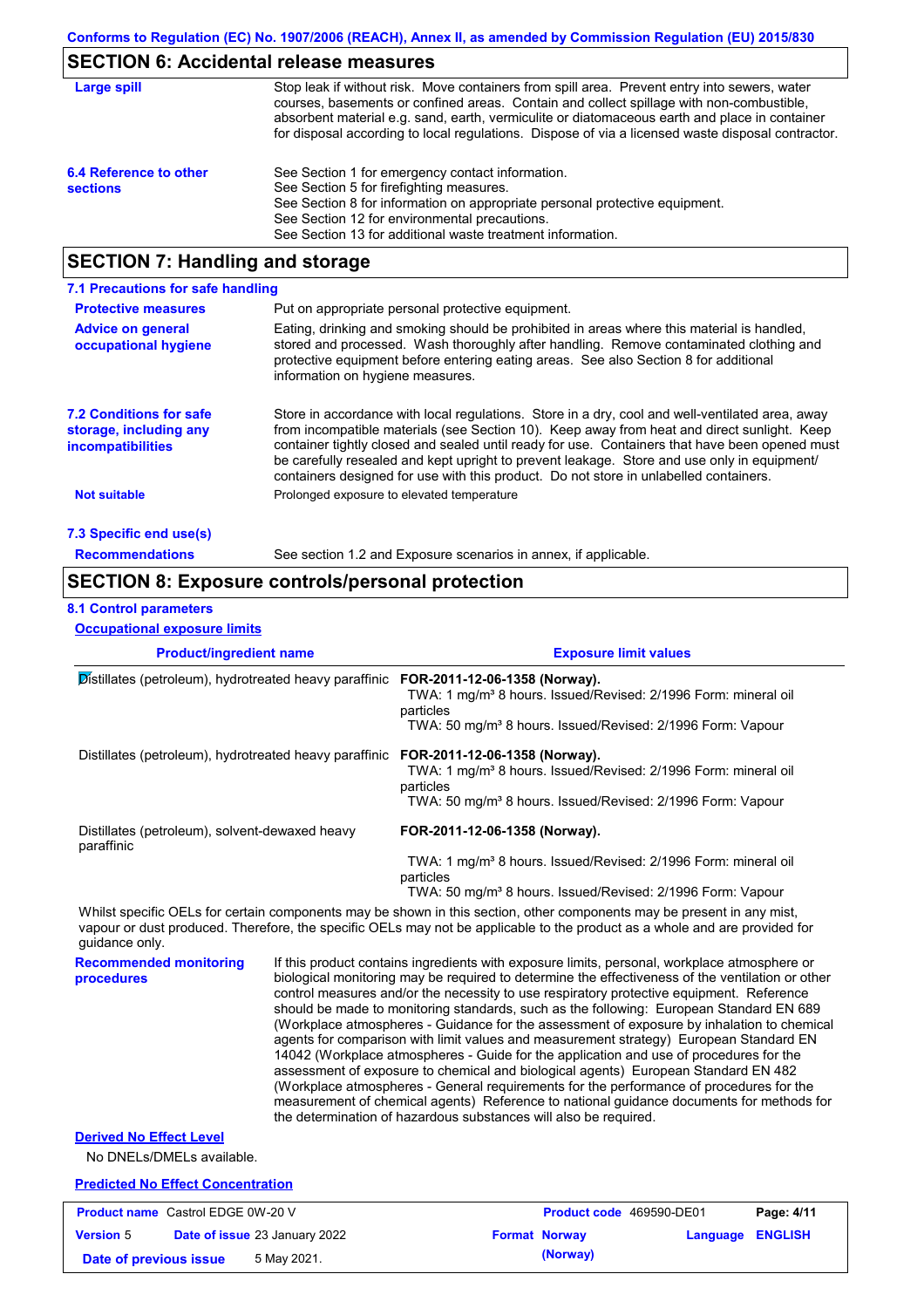## **SECTION 6: Accidental release measures**

| Large spill                               | Stop leak if without risk. Move containers from spill area. Prevent entry into sewers, water<br>courses, basements or confined areas. Contain and collect spillage with non-combustible,<br>absorbent material e.g. sand, earth, vermiculite or diatomaceous earth and place in container<br>for disposal according to local regulations. Dispose of via a licensed waste disposal contractor. |
|-------------------------------------------|------------------------------------------------------------------------------------------------------------------------------------------------------------------------------------------------------------------------------------------------------------------------------------------------------------------------------------------------------------------------------------------------|
| 6.4 Reference to other<br><b>sections</b> | See Section 1 for emergency contact information.<br>See Section 5 for firefighting measures.<br>See Section 8 for information on appropriate personal protective equipment.<br>See Section 12 for environmental precautions.<br>See Section 13 for additional waste treatment information.                                                                                                     |

## **SECTION 7: Handling and storage**

| 7.1 Precautions for safe handling                                                    |                                                                                                                                                                                                                                                                                                                                                                                                                                                                                          |
|--------------------------------------------------------------------------------------|------------------------------------------------------------------------------------------------------------------------------------------------------------------------------------------------------------------------------------------------------------------------------------------------------------------------------------------------------------------------------------------------------------------------------------------------------------------------------------------|
| <b>Protective measures</b>                                                           | Put on appropriate personal protective equipment.                                                                                                                                                                                                                                                                                                                                                                                                                                        |
| <b>Advice on general</b><br>occupational hygiene                                     | Eating, drinking and smoking should be prohibited in areas where this material is handled,<br>stored and processed. Wash thoroughly after handling. Remove contaminated clothing and<br>protective equipment before entering eating areas. See also Section 8 for additional<br>information on hygiene measures.                                                                                                                                                                         |
| <b>7.2 Conditions for safe</b><br>storage, including any<br><b>incompatibilities</b> | Store in accordance with local requlations. Store in a dry, cool and well-ventilated area, away<br>from incompatible materials (see Section 10). Keep away from heat and direct sunlight. Keep<br>container tightly closed and sealed until ready for use. Containers that have been opened must<br>be carefully resealed and kept upright to prevent leakage. Store and use only in equipment/<br>containers designed for use with this product. Do not store in unlabelled containers. |
| Not suitable                                                                         | Prolonged exposure to elevated temperature                                                                                                                                                                                                                                                                                                                                                                                                                                               |
| 7.3 Specific end use(s)                                                              |                                                                                                                                                                                                                                                                                                                                                                                                                                                                                          |
| <b>Recommendations</b>                                                               | See section 1.2 and Exposure scenarios in annex, if applicable.                                                                                                                                                                                                                                                                                                                                                                                                                          |

### **SECTION 8: Exposure controls/personal protection**

#### **8.1 Control parameters**

**Version** 5

**Occupational exposure limits**

| <b>Product/ingredient name</b>                                                                                                                 |  | <b>Exposure limit values</b>                                                                                                                                                                                                                                                                                                                                                                                                                                                                                                                                                                                                                                                                                                                                                                                                                                                                                                                                                                                               |  |  |  |
|------------------------------------------------------------------------------------------------------------------------------------------------|--|----------------------------------------------------------------------------------------------------------------------------------------------------------------------------------------------------------------------------------------------------------------------------------------------------------------------------------------------------------------------------------------------------------------------------------------------------------------------------------------------------------------------------------------------------------------------------------------------------------------------------------------------------------------------------------------------------------------------------------------------------------------------------------------------------------------------------------------------------------------------------------------------------------------------------------------------------------------------------------------------------------------------------|--|--|--|
| Distillates (petroleum), hydrotreated heavy paraffinic FOR-2011-12-06-1358 (Norway).<br>Distillates (petroleum), hydrotreated heavy paraffinic |  | TWA: 1 mg/m <sup>3</sup> 8 hours. Issued/Revised: 2/1996 Form: mineral oil<br>particles<br>TWA: 50 mg/m <sup>3</sup> 8 hours. Issued/Revised: 2/1996 Form: Vapour                                                                                                                                                                                                                                                                                                                                                                                                                                                                                                                                                                                                                                                                                                                                                                                                                                                          |  |  |  |
|                                                                                                                                                |  | FOR-2011-12-06-1358 (Norway).<br>TWA: 1 mg/m <sup>3</sup> 8 hours. Issued/Revised: 2/1996 Form: mineral oil<br>particles<br>TWA: 50 mg/m <sup>3</sup> 8 hours. Issued/Revised: 2/1996 Form: Vapour                                                                                                                                                                                                                                                                                                                                                                                                                                                                                                                                                                                                                                                                                                                                                                                                                         |  |  |  |
| Distillates (petroleum), solvent-dewaxed heavy<br>paraffinic                                                                                   |  | FOR-2011-12-06-1358 (Norway).                                                                                                                                                                                                                                                                                                                                                                                                                                                                                                                                                                                                                                                                                                                                                                                                                                                                                                                                                                                              |  |  |  |
|                                                                                                                                                |  | TWA: 1 mg/m <sup>3</sup> 8 hours. Issued/Revised: 2/1996 Form: mineral oil<br>particles<br>TWA: 50 mg/m <sup>3</sup> 8 hours. Issued/Revised: 2/1996 Form: Vapour                                                                                                                                                                                                                                                                                                                                                                                                                                                                                                                                                                                                                                                                                                                                                                                                                                                          |  |  |  |
| quidance only.                                                                                                                                 |  | Whilst specific OELs for certain components may be shown in this section, other components may be present in any mist,<br>vapour or dust produced. Therefore, the specific OELs may not be applicable to the product as a whole and are provided for                                                                                                                                                                                                                                                                                                                                                                                                                                                                                                                                                                                                                                                                                                                                                                       |  |  |  |
| <b>Recommended monitoring</b><br>procedures                                                                                                    |  | If this product contains ingredients with exposure limits, personal, workplace atmosphere or<br>biological monitoring may be required to determine the effectiveness of the ventilation or other<br>control measures and/or the necessity to use respiratory protective equipment. Reference<br>should be made to monitoring standards, such as the following: European Standard EN 689<br>(Workplace atmospheres - Guidance for the assessment of exposure by inhalation to chemical<br>agents for comparison with limit values and measurement strategy) European Standard EN<br>14042 (Workplace atmospheres - Guide for the application and use of procedures for the<br>assessment of exposure to chemical and biological agents) European Standard EN 482<br>(Workplace atmospheres - General requirements for the performance of procedures for the<br>measurement of chemical agents) Reference to national guidance documents for methods for<br>the determination of hazardous substances will also be required. |  |  |  |
| <b>Derived No Effect Level</b><br>No DNELs/DMELs available.                                                                                    |  |                                                                                                                                                                                                                                                                                                                                                                                                                                                                                                                                                                                                                                                                                                                                                                                                                                                                                                                                                                                                                            |  |  |  |
| <b>Predicted No Effect Concentration</b>                                                                                                       |  |                                                                                                                                                                                                                                                                                                                                                                                                                                                                                                                                                                                                                                                                                                                                                                                                                                                                                                                                                                                                                            |  |  |  |
| <b>Product name</b> Castrol EDGE 0W-20 V                                                                                                       |  | Product code 469590-DE01<br>Page: 4/11                                                                                                                                                                                                                                                                                                                                                                                                                                                                                                                                                                                                                                                                                                                                                                                                                                                                                                                                                                                     |  |  |  |

**Date of issue** 23 January 2022 **Format Norway Language ENGLISH**

**Date of previous issue** 5 May 2021.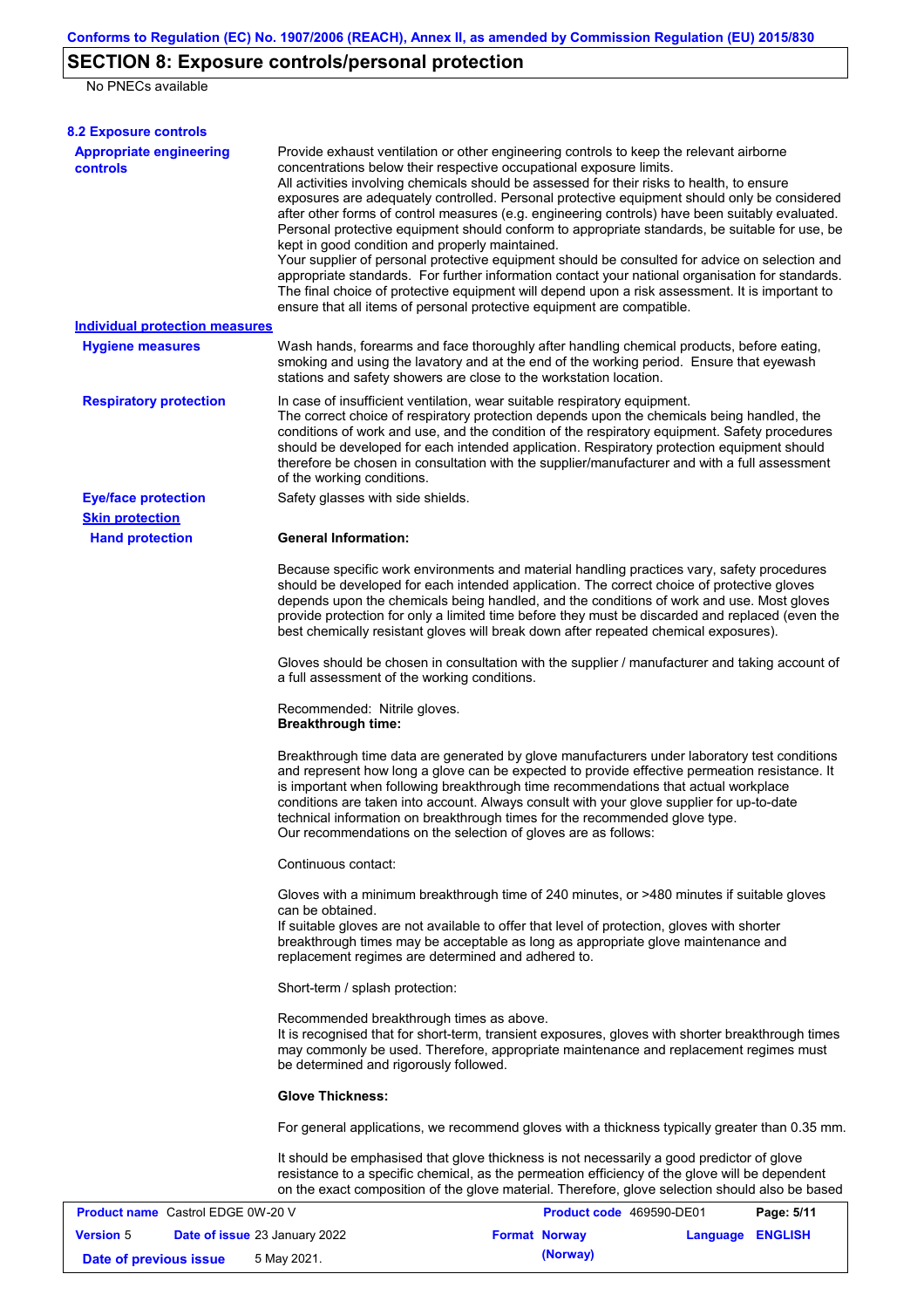## **SECTION 8: Exposure controls/personal protection**

No PNECs available

| <b>8.2 Exposure controls</b>                      |                                                                                                                                                                                                                                                                                                                                                                                                                                                                                                                                                                                                                                                                                                                                                                                                                                                                                                                                                                                                         |                          |                  |            |  |  |
|---------------------------------------------------|---------------------------------------------------------------------------------------------------------------------------------------------------------------------------------------------------------------------------------------------------------------------------------------------------------------------------------------------------------------------------------------------------------------------------------------------------------------------------------------------------------------------------------------------------------------------------------------------------------------------------------------------------------------------------------------------------------------------------------------------------------------------------------------------------------------------------------------------------------------------------------------------------------------------------------------------------------------------------------------------------------|--------------------------|------------------|------------|--|--|
| <b>Appropriate engineering</b><br><b>controls</b> | Provide exhaust ventilation or other engineering controls to keep the relevant airborne<br>concentrations below their respective occupational exposure limits.<br>All activities involving chemicals should be assessed for their risks to health, to ensure<br>exposures are adequately controlled. Personal protective equipment should only be considered<br>after other forms of control measures (e.g. engineering controls) have been suitably evaluated.<br>Personal protective equipment should conform to appropriate standards, be suitable for use, be<br>kept in good condition and properly maintained.<br>Your supplier of personal protective equipment should be consulted for advice on selection and<br>appropriate standards. For further information contact your national organisation for standards.<br>The final choice of protective equipment will depend upon a risk assessment. It is important to<br>ensure that all items of personal protective equipment are compatible. |                          |                  |            |  |  |
| <b>Individual protection measures</b>             |                                                                                                                                                                                                                                                                                                                                                                                                                                                                                                                                                                                                                                                                                                                                                                                                                                                                                                                                                                                                         |                          |                  |            |  |  |
| <b>Hygiene measures</b>                           | Wash hands, forearms and face thoroughly after handling chemical products, before eating,<br>smoking and using the lavatory and at the end of the working period. Ensure that eyewash<br>stations and safety showers are close to the workstation location.                                                                                                                                                                                                                                                                                                                                                                                                                                                                                                                                                                                                                                                                                                                                             |                          |                  |            |  |  |
| <b>Respiratory protection</b>                     | In case of insufficient ventilation, wear suitable respiratory equipment.<br>The correct choice of respiratory protection depends upon the chemicals being handled, the<br>conditions of work and use, and the condition of the respiratory equipment. Safety procedures<br>should be developed for each intended application. Respiratory protection equipment should<br>therefore be chosen in consultation with the supplier/manufacturer and with a full assessment<br>of the working conditions.                                                                                                                                                                                                                                                                                                                                                                                                                                                                                                   |                          |                  |            |  |  |
| <b>Eye/face protection</b>                        | Safety glasses with side shields.                                                                                                                                                                                                                                                                                                                                                                                                                                                                                                                                                                                                                                                                                                                                                                                                                                                                                                                                                                       |                          |                  |            |  |  |
| <b>Skin protection</b>                            |                                                                                                                                                                                                                                                                                                                                                                                                                                                                                                                                                                                                                                                                                                                                                                                                                                                                                                                                                                                                         |                          |                  |            |  |  |
| <b>Hand protection</b>                            | <b>General Information:</b>                                                                                                                                                                                                                                                                                                                                                                                                                                                                                                                                                                                                                                                                                                                                                                                                                                                                                                                                                                             |                          |                  |            |  |  |
|                                                   | Because specific work environments and material handling practices vary, safety procedures<br>should be developed for each intended application. The correct choice of protective gloves<br>depends upon the chemicals being handled, and the conditions of work and use. Most gloves<br>provide protection for only a limited time before they must be discarded and replaced (even the<br>best chemically resistant gloves will break down after repeated chemical exposures).                                                                                                                                                                                                                                                                                                                                                                                                                                                                                                                        |                          |                  |            |  |  |
|                                                   | Gloves should be chosen in consultation with the supplier / manufacturer and taking account of<br>a full assessment of the working conditions.                                                                                                                                                                                                                                                                                                                                                                                                                                                                                                                                                                                                                                                                                                                                                                                                                                                          |                          |                  |            |  |  |
|                                                   | Recommended: Nitrile gloves.<br><b>Breakthrough time:</b>                                                                                                                                                                                                                                                                                                                                                                                                                                                                                                                                                                                                                                                                                                                                                                                                                                                                                                                                               |                          |                  |            |  |  |
|                                                   | Breakthrough time data are generated by glove manufacturers under laboratory test conditions<br>and represent how long a glove can be expected to provide effective permeation resistance. It<br>is important when following breakthrough time recommendations that actual workplace<br>conditions are taken into account. Always consult with your glove supplier for up-to-date<br>technical information on breakthrough times for the recommended glove type.<br>Our recommendations on the selection of gloves are as follows:                                                                                                                                                                                                                                                                                                                                                                                                                                                                      |                          |                  |            |  |  |
|                                                   | Continuous contact:                                                                                                                                                                                                                                                                                                                                                                                                                                                                                                                                                                                                                                                                                                                                                                                                                                                                                                                                                                                     |                          |                  |            |  |  |
|                                                   | Gloves with a minimum breakthrough time of 240 minutes, or >480 minutes if suitable gloves<br>can be obtained.<br>If suitable gloves are not available to offer that level of protection, gloves with shorter<br>breakthrough times may be acceptable as long as appropriate glove maintenance and                                                                                                                                                                                                                                                                                                                                                                                                                                                                                                                                                                                                                                                                                                      |                          |                  |            |  |  |
|                                                   | replacement regimes are determined and adhered to.<br>Short-term / splash protection:                                                                                                                                                                                                                                                                                                                                                                                                                                                                                                                                                                                                                                                                                                                                                                                                                                                                                                                   |                          |                  |            |  |  |
|                                                   |                                                                                                                                                                                                                                                                                                                                                                                                                                                                                                                                                                                                                                                                                                                                                                                                                                                                                                                                                                                                         |                          |                  |            |  |  |
|                                                   | Recommended breakthrough times as above.<br>It is recognised that for short-term, transient exposures, gloves with shorter breakthrough times<br>may commonly be used. Therefore, appropriate maintenance and replacement regimes must<br>be determined and rigorously followed.                                                                                                                                                                                                                                                                                                                                                                                                                                                                                                                                                                                                                                                                                                                        |                          |                  |            |  |  |
|                                                   | <b>Glove Thickness:</b>                                                                                                                                                                                                                                                                                                                                                                                                                                                                                                                                                                                                                                                                                                                                                                                                                                                                                                                                                                                 |                          |                  |            |  |  |
|                                                   | For general applications, we recommend gloves with a thickness typically greater than 0.35 mm.                                                                                                                                                                                                                                                                                                                                                                                                                                                                                                                                                                                                                                                                                                                                                                                                                                                                                                          |                          |                  |            |  |  |
|                                                   | It should be emphasised that glove thickness is not necessarily a good predictor of glove<br>resistance to a specific chemical, as the permeation efficiency of the glove will be dependent<br>on the exact composition of the glove material. Therefore, glove selection should also be based                                                                                                                                                                                                                                                                                                                                                                                                                                                                                                                                                                                                                                                                                                          |                          |                  |            |  |  |
| <b>Product name</b> Castrol EDGE 0W-20 V          |                                                                                                                                                                                                                                                                                                                                                                                                                                                                                                                                                                                                                                                                                                                                                                                                                                                                                                                                                                                                         | Product code 469590-DE01 |                  | Page: 5/11 |  |  |
| Date of issue 23 January 2022<br><b>Version 5</b> |                                                                                                                                                                                                                                                                                                                                                                                                                                                                                                                                                                                                                                                                                                                                                                                                                                                                                                                                                                                                         | <b>Format Norway</b>     | Language ENGLISH |            |  |  |

**Date of previous issue 6 May 2021. (Norway) (Norway)**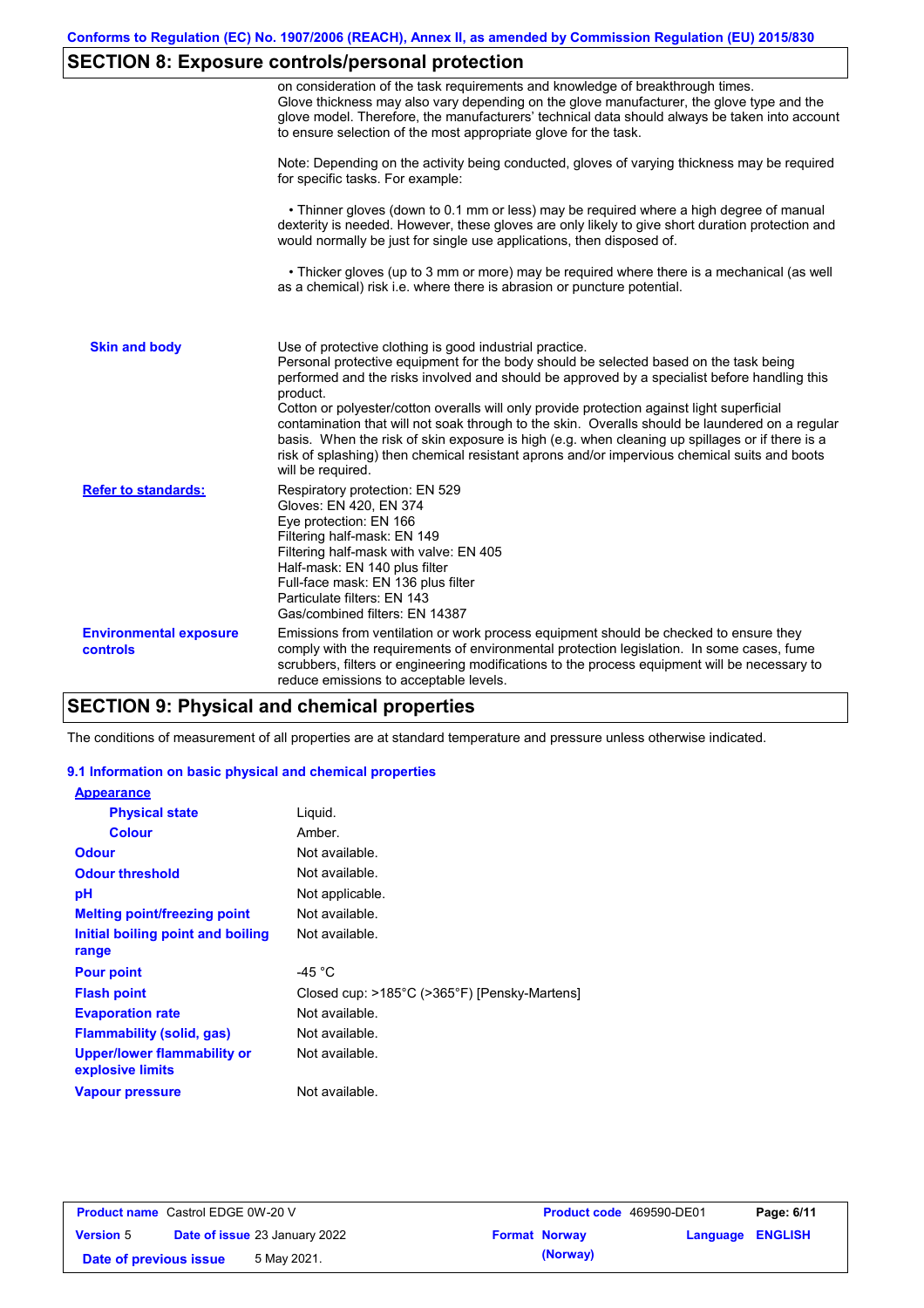# **SECTION 8: Exposure controls/personal protection**

|                                           | on consideration of the task requirements and knowledge of breakthrough times.<br>Glove thickness may also vary depending on the glove manufacturer, the glove type and the<br>glove model. Therefore, the manufacturers' technical data should always be taken into account<br>to ensure selection of the most appropriate glove for the task.                                                                                                                                                                                                                                                                                                                                       |
|-------------------------------------------|---------------------------------------------------------------------------------------------------------------------------------------------------------------------------------------------------------------------------------------------------------------------------------------------------------------------------------------------------------------------------------------------------------------------------------------------------------------------------------------------------------------------------------------------------------------------------------------------------------------------------------------------------------------------------------------|
|                                           | Note: Depending on the activity being conducted, gloves of varying thickness may be required<br>for specific tasks. For example:                                                                                                                                                                                                                                                                                                                                                                                                                                                                                                                                                      |
|                                           | • Thinner gloves (down to 0.1 mm or less) may be required where a high degree of manual<br>dexterity is needed. However, these gloves are only likely to give short duration protection and<br>would normally be just for single use applications, then disposed of.                                                                                                                                                                                                                                                                                                                                                                                                                  |
|                                           | • Thicker gloves (up to 3 mm or more) may be required where there is a mechanical (as well<br>as a chemical) risk i.e. where there is abrasion or puncture potential.                                                                                                                                                                                                                                                                                                                                                                                                                                                                                                                 |
| <b>Skin and body</b>                      | Use of protective clothing is good industrial practice.<br>Personal protective equipment for the body should be selected based on the task being<br>performed and the risks involved and should be approved by a specialist before handling this<br>product.<br>Cotton or polyester/cotton overalls will only provide protection against light superficial<br>contamination that will not soak through to the skin. Overalls should be laundered on a regular<br>basis. When the risk of skin exposure is high (e.g. when cleaning up spillages or if there is a<br>risk of splashing) then chemical resistant aprons and/or impervious chemical suits and boots<br>will be required. |
| <b>Refer to standards:</b>                | Respiratory protection: EN 529<br>Gloves: EN 420, EN 374<br>Eye protection: EN 166<br>Filtering half-mask: EN 149<br>Filtering half-mask with valve: EN 405<br>Half-mask: EN 140 plus filter<br>Full-face mask: EN 136 plus filter<br>Particulate filters: EN 143<br>Gas/combined filters: EN 14387                                                                                                                                                                                                                                                                                                                                                                                   |
| <b>Environmental exposure</b><br>controls | Emissions from ventilation or work process equipment should be checked to ensure they<br>comply with the requirements of environmental protection legislation. In some cases, fume<br>scrubbers, filters or engineering modifications to the process equipment will be necessary to<br>reduce emissions to acceptable levels.                                                                                                                                                                                                                                                                                                                                                         |

## **SECTION 9: Physical and chemical properties**

The conditions of measurement of all properties are at standard temperature and pressure unless otherwise indicated.

### **9.1 Information on basic physical and chemical properties**

| <b>Appearance</b>                               |                                              |
|-------------------------------------------------|----------------------------------------------|
| <b>Physical state</b>                           | Liquid.                                      |
| <b>Colour</b>                                   | Amber.                                       |
| <b>Odour</b>                                    | Not available.                               |
| <b>Odour threshold</b>                          | Not available.                               |
| рH                                              | Not applicable.                              |
| <b>Melting point/freezing point</b>             | Not available.                               |
| Initial boiling point and boiling<br>range      | Not available.                               |
| <b>Pour point</b>                               | -45 $^{\circ}$ C                             |
| <b>Flash point</b>                              | Closed cup: >185°C (>365°F) [Pensky-Martens] |
| <b>Evaporation rate</b>                         | Not available.                               |
| <b>Flammability (solid, gas)</b>                | Not available.                               |
| Upper/lower flammability or<br>explosive limits | Not available.                               |
| Vapour pressure                                 | Not available.                               |

| <b>Product name</b> Castrol EDGE 0W-20 V |  | <b>Product code</b> 469590-DE01      |  | Page: 6/11           |                         |  |
|------------------------------------------|--|--------------------------------------|--|----------------------|-------------------------|--|
| <b>Version 5</b>                         |  | <b>Date of issue 23 January 2022</b> |  | <b>Format Norway</b> | <b>Language ENGLISH</b> |  |
| Date of previous issue                   |  | 5 May 2021.                          |  | (Norway)             |                         |  |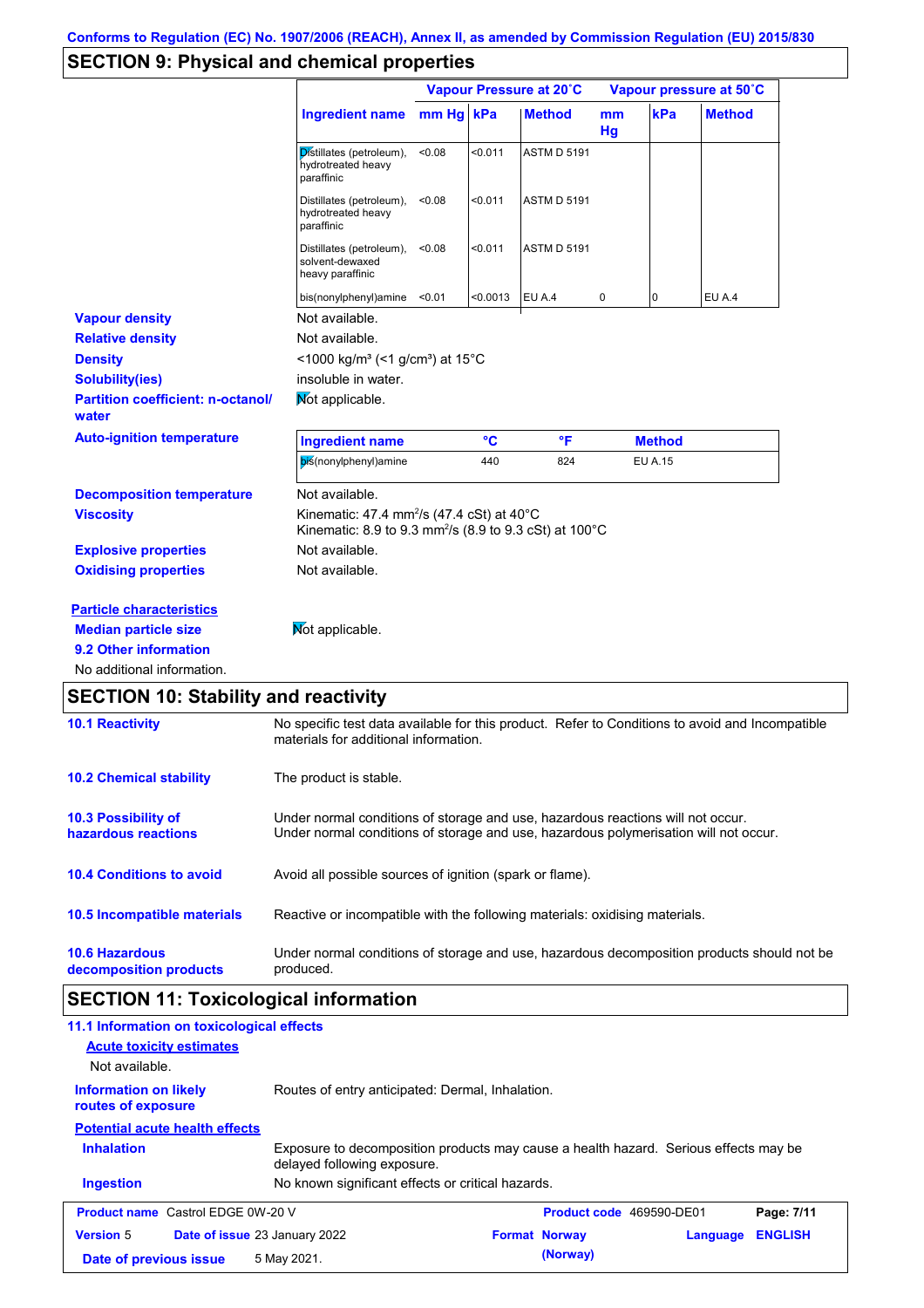## **SECTION 9: Physical and chemical properties**

|                                                   |                                                                                                                                                                         | Vapour Pressure at 20°C |          |                    | Vapour pressure at 50°C |                |               |
|---------------------------------------------------|-------------------------------------------------------------------------------------------------------------------------------------------------------------------------|-------------------------|----------|--------------------|-------------------------|----------------|---------------|
|                                                   | Ingredient name                                                                                                                                                         | mm Hg kPa               |          | <b>Method</b>      | mm<br>Hg                | kPa            | <b>Method</b> |
|                                                   | Distillates (petroleum),<br>hydrotreated heavy<br>paraffinic                                                                                                            | < 0.08                  | < 0.011  | ASTM D 5191        |                         |                |               |
|                                                   | Distillates (petroleum),<br>hydrotreated heavy<br>paraffinic                                                                                                            | < 0.08                  | < 0.011  | <b>ASTM D 5191</b> |                         |                |               |
|                                                   | Distillates (petroleum),<br>solvent-dewaxed<br>heavy paraffinic                                                                                                         | < 0.08                  | < 0.011  | <b>ASTM D 5191</b> |                         |                |               |
|                                                   | bis(nonylphenyl)amine <0.01                                                                                                                                             |                         | < 0.0013 | EU A.4             | 0                       | 0              | EU A.4        |
| <b>Vapour density</b>                             | Not available.                                                                                                                                                          |                         |          |                    |                         |                |               |
| <b>Relative density</b>                           | Not available.                                                                                                                                                          |                         |          |                    |                         |                |               |
| <b>Density</b>                                    | $<$ 1000 kg/m <sup>3</sup> (<1 g/cm <sup>3</sup> ) at 15 <sup>°</sup> C                                                                                                 |                         |          |                    |                         |                |               |
| <b>Solubility(ies)</b>                            | insoluble in water.                                                                                                                                                     |                         |          |                    |                         |                |               |
| <b>Partition coefficient: n-octanol/</b><br>water | Not applicable.                                                                                                                                                         |                         |          |                    |                         |                |               |
| <b>Auto-ignition temperature</b>                  | <b>Ingredient name</b>                                                                                                                                                  |                         | °C       | $\mathsf{P}$       |                         | <b>Method</b>  |               |
|                                                   | bis(nonylphenyl)amine                                                                                                                                                   |                         | 440      | 824                |                         | <b>EU A.15</b> |               |
| <b>Decomposition temperature</b>                  | Not available.                                                                                                                                                          |                         |          |                    |                         |                |               |
| <b>Viscosity</b>                                  | Kinematic: 47.4 mm <sup>2</sup> /s (47.4 cSt) at 40 $^{\circ}$ C<br>Kinematic: 8.9 to 9.3 mm <sup>2</sup> /s (8.9 to 9.3 cSt) at 100 °C                                 |                         |          |                    |                         |                |               |
| <b>Explosive properties</b>                       | Not available.                                                                                                                                                          |                         |          |                    |                         |                |               |
| <b>Oxidising properties</b>                       | Not available.                                                                                                                                                          |                         |          |                    |                         |                |               |
| <b>Particle characteristics</b>                   |                                                                                                                                                                         |                         |          |                    |                         |                |               |
| <b>Median particle size</b>                       | Mot applicable.                                                                                                                                                         |                         |          |                    |                         |                |               |
| 9.2 Other information                             |                                                                                                                                                                         |                         |          |                    |                         |                |               |
| No additional information.                        |                                                                                                                                                                         |                         |          |                    |                         |                |               |
| <b>SECTION 10: Stability and reactivity</b>       |                                                                                                                                                                         |                         |          |                    |                         |                |               |
| <b>10.1 Reactivity</b>                            | No specific test data available for this product. Refer to Conditions to avoid and Incompatible<br>materials for additional information.                                |                         |          |                    |                         |                |               |
|                                                   | The product is stable.                                                                                                                                                  |                         |          |                    |                         |                |               |
| <b>10.2 Chemical stability</b>                    |                                                                                                                                                                         |                         |          |                    |                         |                |               |
| 10.3 Possibility of<br>hazardous reactions        | Under normal conditions of storage and use, hazardous reactions will not occur.<br>Under normal conditions of storage and use, hazardous polymerisation will not occur. |                         |          |                    |                         |                |               |

**10.6 Hazardous decomposition products** Under normal conditions of storage and use, hazardous decomposition products should not be produced.

Reactive or incompatible with the following materials: oxidising materials.

# **SECTION 11: Toxicological information**

**10.5 Incompatible materials**

| 11.1 Information on toxicological effects   |                                                                                                                     |                          |          |                |
|---------------------------------------------|---------------------------------------------------------------------------------------------------------------------|--------------------------|----------|----------------|
| <b>Acute toxicity estimates</b>             |                                                                                                                     |                          |          |                |
| Not available.                              |                                                                                                                     |                          |          |                |
| Information on likely<br>routes of exposure | Routes of entry anticipated: Dermal, Inhalation.                                                                    |                          |          |                |
| <b>Potential acute health effects</b>       |                                                                                                                     |                          |          |                |
| <b>Inhalation</b>                           | Exposure to decomposition products may cause a health hazard. Serious effects may be<br>delayed following exposure. |                          |          |                |
| <b>Ingestion</b>                            | No known significant effects or critical hazards.                                                                   |                          |          |                |
| <b>Product name</b> Castrol EDGE 0W-20 V    |                                                                                                                     | Product code 469590-DE01 |          | Page: 7/11     |
| <b>Version 5</b>                            | Date of issue 23 January 2022                                                                                       | <b>Format Norway</b>     | Language | <b>ENGLISH</b> |
| Date of previous issue                      | 5 May 2021.                                                                                                         | (Norway)                 |          |                |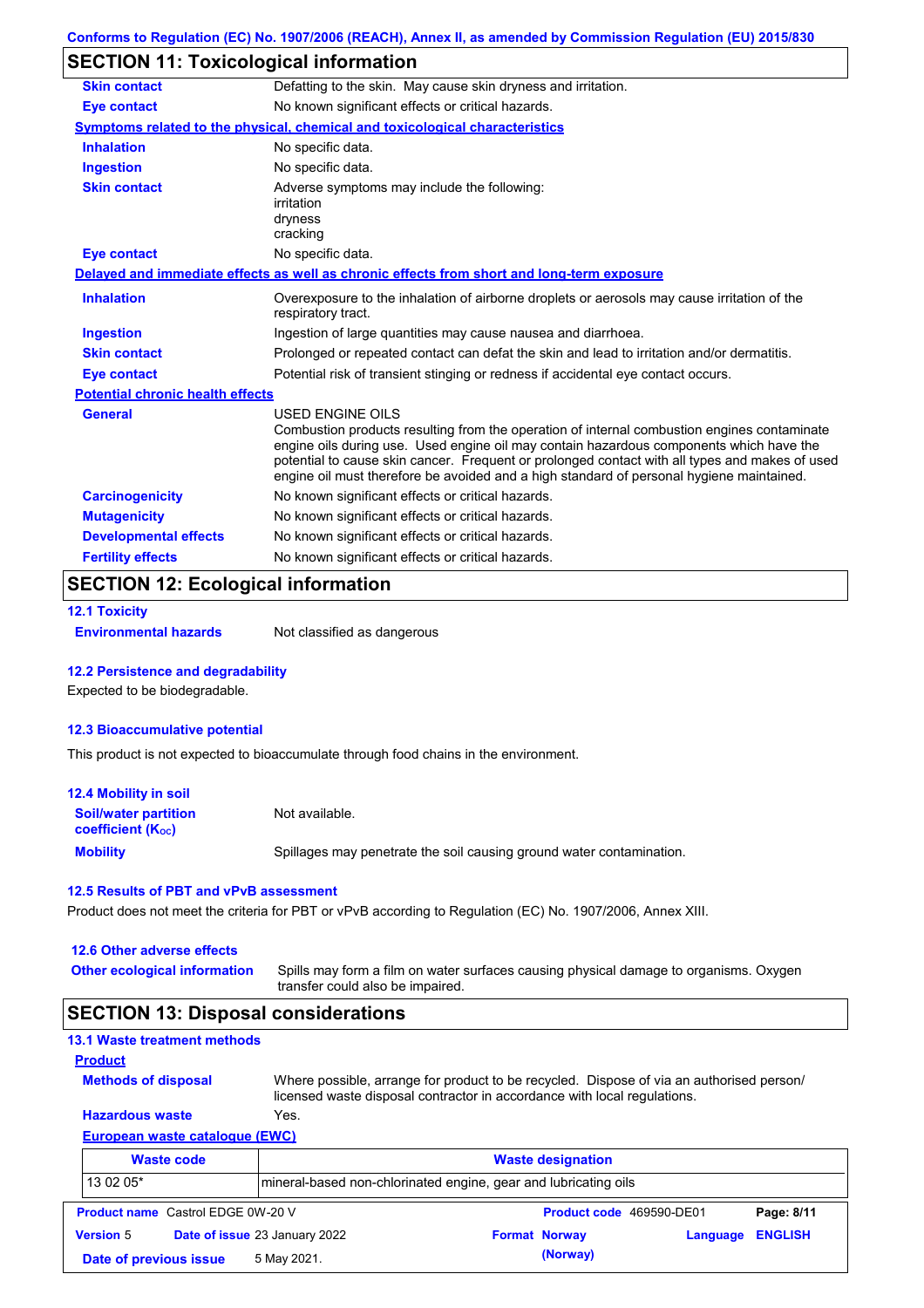# **SECTION 11: Toxicological information**

| <b>Skin contact</b>                     | Defatting to the skin. May cause skin dryness and irritation.                                                                                                                                                                                                                                                                                                                                                   |
|-----------------------------------------|-----------------------------------------------------------------------------------------------------------------------------------------------------------------------------------------------------------------------------------------------------------------------------------------------------------------------------------------------------------------------------------------------------------------|
| <b>Eye contact</b>                      | No known significant effects or critical hazards.                                                                                                                                                                                                                                                                                                                                                               |
|                                         | Symptoms related to the physical, chemical and toxicological characteristics                                                                                                                                                                                                                                                                                                                                    |
| <b>Inhalation</b>                       | No specific data.                                                                                                                                                                                                                                                                                                                                                                                               |
| <b>Ingestion</b>                        | No specific data.                                                                                                                                                                                                                                                                                                                                                                                               |
| <b>Skin contact</b>                     | Adverse symptoms may include the following:<br>irritation<br>dryness<br>cracking                                                                                                                                                                                                                                                                                                                                |
| <b>Eye contact</b>                      | No specific data.                                                                                                                                                                                                                                                                                                                                                                                               |
|                                         | Delayed and immediate effects as well as chronic effects from short and long-term exposure                                                                                                                                                                                                                                                                                                                      |
| <b>Inhalation</b>                       | Overexposure to the inhalation of airborne droplets or aerosols may cause irritation of the<br>respiratory tract.                                                                                                                                                                                                                                                                                               |
| <b>Ingestion</b>                        | Ingestion of large quantities may cause nausea and diarrhoea.                                                                                                                                                                                                                                                                                                                                                   |
| <b>Skin contact</b>                     | Prolonged or repeated contact can defat the skin and lead to irritation and/or dermatitis.                                                                                                                                                                                                                                                                                                                      |
| <b>Eye contact</b>                      | Potential risk of transient stinging or redness if accidental eye contact occurs.                                                                                                                                                                                                                                                                                                                               |
| <b>Potential chronic health effects</b> |                                                                                                                                                                                                                                                                                                                                                                                                                 |
| <b>General</b>                          | <b>USED ENGINE OILS</b><br>Combustion products resulting from the operation of internal combustion engines contaminate<br>engine oils during use. Used engine oil may contain hazardous components which have the<br>potential to cause skin cancer. Frequent or prolonged contact with all types and makes of used<br>engine oil must therefore be avoided and a high standard of personal hygiene maintained. |
| <b>Carcinogenicity</b>                  | No known significant effects or critical hazards.                                                                                                                                                                                                                                                                                                                                                               |
| <b>Mutagenicity</b>                     | No known significant effects or critical hazards.                                                                                                                                                                                                                                                                                                                                                               |
| <b>Developmental effects</b>            | No known significant effects or critical hazards.                                                                                                                                                                                                                                                                                                                                                               |
| <b>Fertility effects</b>                | No known significant effects or critical hazards.                                                                                                                                                                                                                                                                                                                                                               |

### **SECTION 12: Ecological information**

```
12.1 Toxicity
```
**Environmental hazards** Not classified as dangerous

#### **12.2 Persistence and degradability**

Expected to be biodegradable.

#### **12.3 Bioaccumulative potential**

This product is not expected to bioaccumulate through food chains in the environment.

| <b>12.4 Mobility in soil</b>                                  |                                                                      |
|---------------------------------------------------------------|----------------------------------------------------------------------|
| <b>Soil/water partition</b><br>coefficient (K <sub>oc</sub> ) | Not available.                                                       |
| <b>Mobility</b>                                               | Spillages may penetrate the soil causing ground water contamination. |

#### **12.5 Results of PBT and vPvB assessment**

Product does not meet the criteria for PBT or vPvB according to Regulation (EC) No. 1907/2006, Annex XIII.

#### **12.6 Other adverse effects**

**Other ecological information**

Spills may form a film on water surfaces causing physical damage to organisms. Oxygen transfer could also be impaired.

### **SECTION 13: Disposal considerations**

### **13.1 Waste treatment methods**

**Methods of disposal**

**Product**

Where possible, arrange for product to be recycled. Dispose of via an authorised person/ licensed waste disposal contractor in accordance with local regulations.

### **European waste catalogue (EWC) Hazardous waste** Yes.

|                  | <b>Waste code</b>                        | <b>Waste designation</b>      |                                                                 |                      |                          |                |  |
|------------------|------------------------------------------|-------------------------------|-----------------------------------------------------------------|----------------------|--------------------------|----------------|--|
| 13 02 05*        |                                          |                               | mineral-based non-chlorinated engine, gear and lubricating oils |                      |                          |                |  |
|                  | <b>Product name</b> Castrol EDGE 0W-20 V |                               |                                                                 |                      | Product code 469590-DE01 | Page: 8/11     |  |
| <b>Version 5</b> |                                          | Date of issue 23 January 2022 |                                                                 | <b>Format Norway</b> | Language                 | <b>ENGLISH</b> |  |
|                  | Date of previous issue                   | 5 May 2021.                   |                                                                 | (Norway)             |                          |                |  |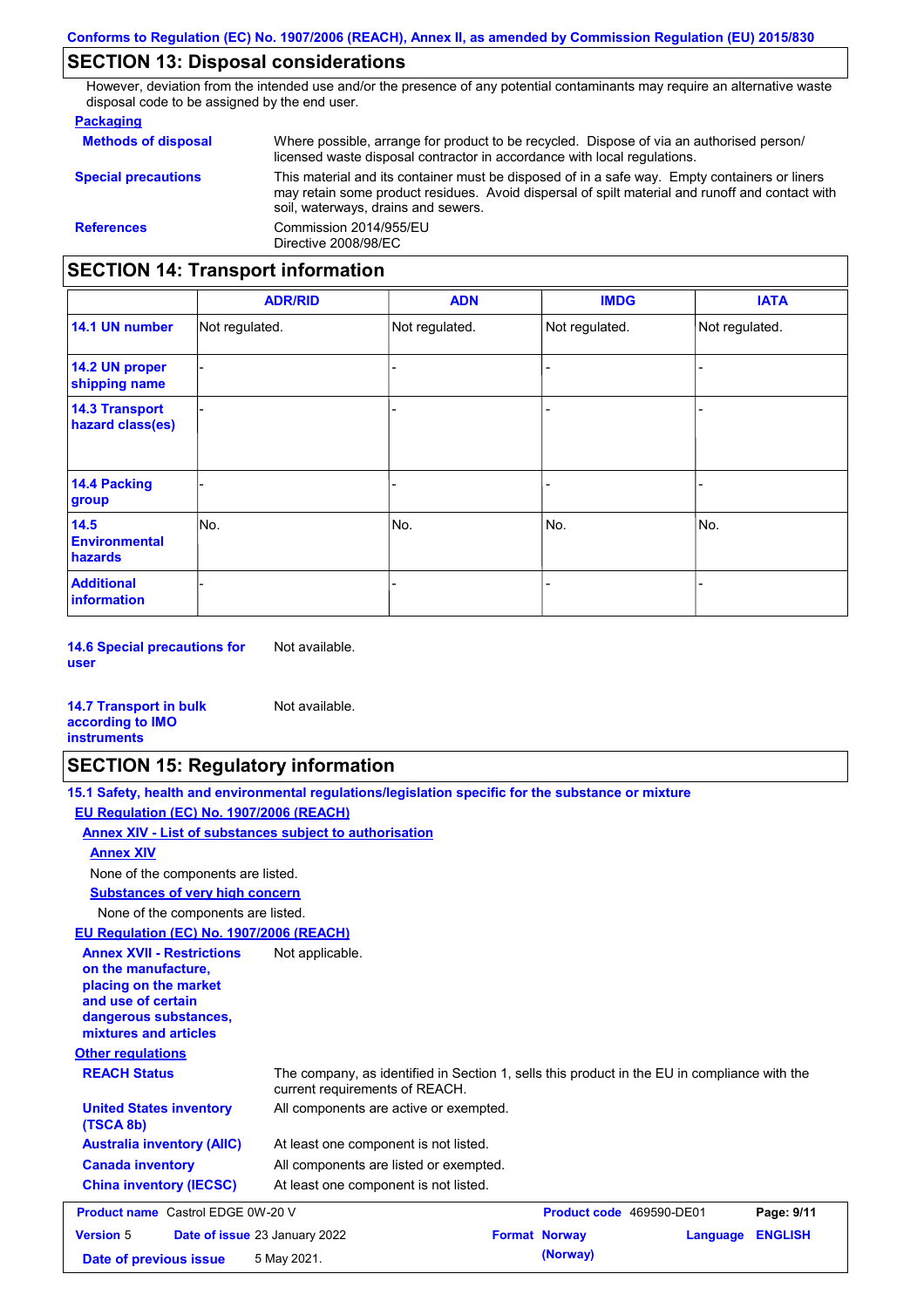## **SECTION 13: Disposal considerations**

However, deviation from the intended use and/or the presence of any potential contaminants may require an alternative waste disposal code to be assigned by the end user.

### **Packaging**

| <b>Methods of disposal</b>               | Where possible, arrange for product to be recycled. Dispose of via an authorised person/<br>licensed waste disposal contractor in accordance with local regulations.                                                                    |  |  |  |
|------------------------------------------|-----------------------------------------------------------------------------------------------------------------------------------------------------------------------------------------------------------------------------------------|--|--|--|
| <b>Special precautions</b>               | This material and its container must be disposed of in a safe way. Empty containers or liners<br>may retain some product residues. Avoid dispersal of spilt material and runoff and contact with<br>soil, waterways, drains and sewers. |  |  |  |
| <b>References</b>                        | Commission 2014/955/EU<br>Directive 2008/98/EC                                                                                                                                                                                          |  |  |  |
| <b>SECTION 14: Transport information</b> |                                                                                                                                                                                                                                         |  |  |  |

#### - - - - - - - - - Not regulated. Not regulated. Not regulated. - - - **ADR/RID IMDG IATA 14.1 UN number 14.2 UN proper shipping name 14.3 Transport hazard class(es) 14.4 Packing group ADN Additional information 14.5 Environmental hazards** No. 1980 | No. 1980 | No. 1980 | No. 1980 | No. 1980 | No. 1980 | No. 1980 | No. 1980 | No. 1980 | No. 1980 | Not regulated. - No. - -

**14.6 Special precautions for user** Not available.

#### **14.7 Transport in bulk according to IMO instruments**

# **SECTION 15: Regulatory information**

Not available.

|                                                                                                                                                          | 15.1 Safety, health and environmental regulations/legislation specific for the substance or mixture                            |                          |          |                |
|----------------------------------------------------------------------------------------------------------------------------------------------------------|--------------------------------------------------------------------------------------------------------------------------------|--------------------------|----------|----------------|
| EU Regulation (EC) No. 1907/2006 (REACH)                                                                                                                 |                                                                                                                                |                          |          |                |
| Annex XIV - List of substances subject to authorisation                                                                                                  |                                                                                                                                |                          |          |                |
| <b>Annex XIV</b>                                                                                                                                         |                                                                                                                                |                          |          |                |
| None of the components are listed.                                                                                                                       |                                                                                                                                |                          |          |                |
| <b>Substances of very high concern</b>                                                                                                                   |                                                                                                                                |                          |          |                |
| None of the components are listed.                                                                                                                       |                                                                                                                                |                          |          |                |
| EU Regulation (EC) No. 1907/2006 (REACH)                                                                                                                 |                                                                                                                                |                          |          |                |
| <b>Annex XVII - Restrictions</b><br>on the manufacture.<br>placing on the market<br>and use of certain<br>dangerous substances,<br>mixtures and articles | Not applicable.                                                                                                                |                          |          |                |
| <b>Other regulations</b>                                                                                                                                 |                                                                                                                                |                          |          |                |
| <b>REACH Status</b>                                                                                                                                      | The company, as identified in Section 1, sells this product in the EU in compliance with the<br>current requirements of REACH. |                          |          |                |
| <b>United States inventory</b><br>(TSCA 8b)                                                                                                              | All components are active or exempted.                                                                                         |                          |          |                |
| <b>Australia inventory (AIIC)</b>                                                                                                                        | At least one component is not listed.                                                                                          |                          |          |                |
| <b>Canada inventory</b>                                                                                                                                  | All components are listed or exempted.                                                                                         |                          |          |                |
| <b>China inventory (IECSC)</b>                                                                                                                           | At least one component is not listed.                                                                                          |                          |          |                |
| <b>Product name</b> Castrol EDGE 0W-20 V                                                                                                                 |                                                                                                                                | Product code 469590-DE01 |          | Page: 9/11     |
| <b>Version 5</b>                                                                                                                                         | Date of issue 23 January 2022                                                                                                  | <b>Format Norway</b>     | Language | <b>ENGLISH</b> |
| Date of previous issue                                                                                                                                   | 5 May 2021.                                                                                                                    | (Norway)                 |          |                |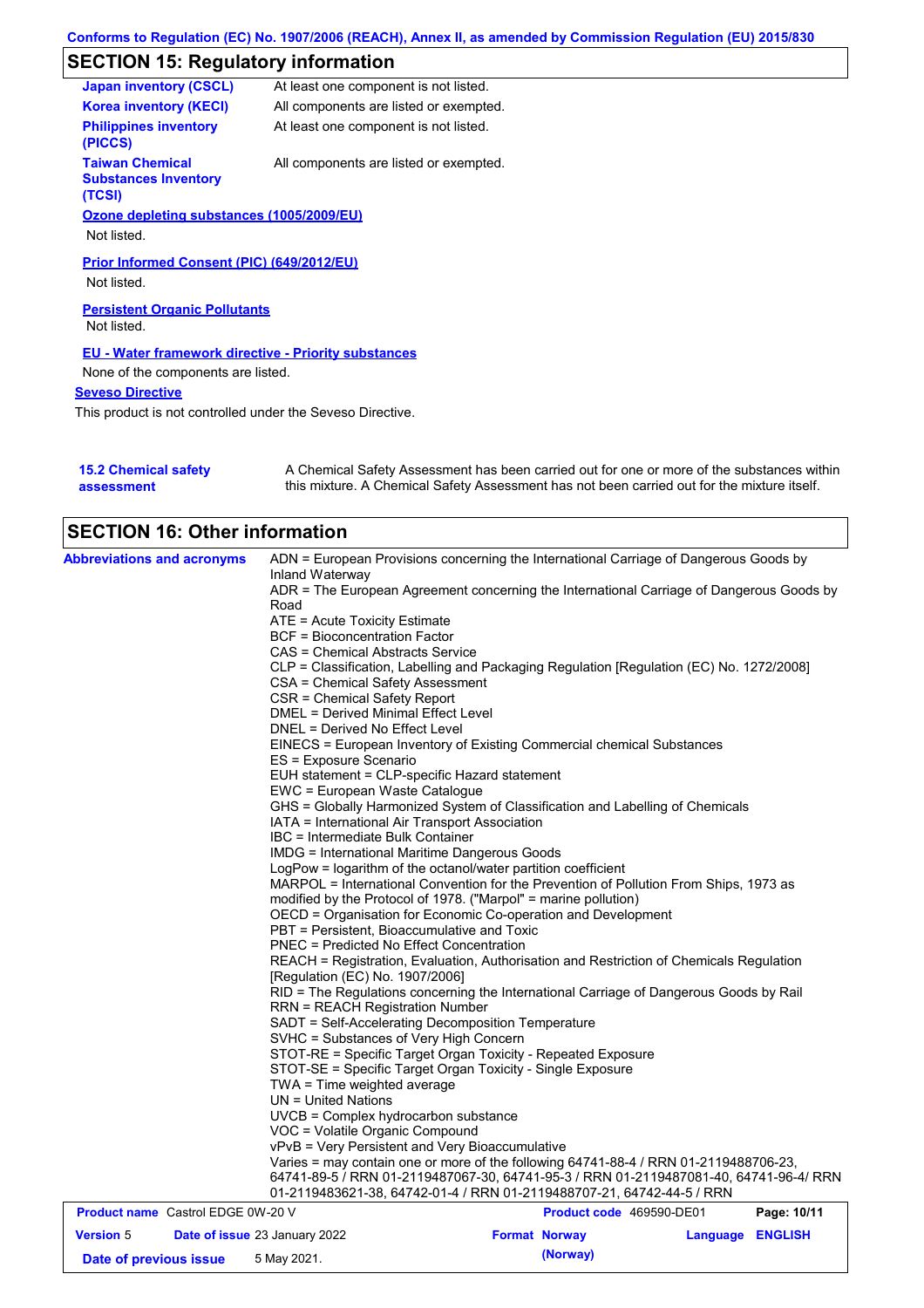# **SECTION 15: Regulatory information**

| <b>Japan inventory (CSCL)</b>                                   | At least one component is not listed.  |
|-----------------------------------------------------------------|----------------------------------------|
| <b>Korea inventory (KECI)</b>                                   | All components are listed or exempted. |
| <b>Philippines inventory</b><br>(PICCS)                         | At least one component is not listed.  |
| <b>Taiwan Chemical</b><br><b>Substances Inventory</b><br>(TCSI) | All components are listed or exempted. |
| Ozone depleting substances (1005/2009/EU)                       |                                        |
| Not listed.                                                     |                                        |
| Prior Informed Consent (PIC) (649/2012/EU)<br>Not listed.       |                                        |
| <b>Persistent Organic Pollutants</b>                            |                                        |
| Not listed.                                                     |                                        |
| <b>EU - Water framework directive - Priority substances</b>     |                                        |
| None of the components are listed.                              |                                        |
| <b>Seveso Directive</b>                                         |                                        |
| This product is not controlled under the Seveso Directive.      |                                        |

| <b>15.2 Chemical safety</b> | A Chemical Safety Assessment has been carried out for one or more of the substances within  |
|-----------------------------|---------------------------------------------------------------------------------------------|
| assessment                  | this mixture. A Chemical Safety Assessment has not been carried out for the mixture itself. |

| <b>SECTION 16: Other information</b>     |                                                                                          |                          |          |                |  |
|------------------------------------------|------------------------------------------------------------------------------------------|--------------------------|----------|----------------|--|
| <b>Abbreviations and acronyms</b>        | ADN = European Provisions concerning the International Carriage of Dangerous Goods by    |                          |          |                |  |
|                                          | Inland Waterway                                                                          |                          |          |                |  |
|                                          | ADR = The European Agreement concerning the International Carriage of Dangerous Goods by |                          |          |                |  |
|                                          | Road                                                                                     |                          |          |                |  |
|                                          | ATE = Acute Toxicity Estimate                                                            |                          |          |                |  |
|                                          | BCF = Bioconcentration Factor                                                            |                          |          |                |  |
|                                          | CAS = Chemical Abstracts Service                                                         |                          |          |                |  |
|                                          | CLP = Classification, Labelling and Packaging Regulation [Regulation (EC) No. 1272/2008] |                          |          |                |  |
|                                          | CSA = Chemical Safety Assessment                                                         |                          |          |                |  |
|                                          | CSR = Chemical Safety Report                                                             |                          |          |                |  |
|                                          | <b>DMEL = Derived Minimal Effect Level</b>                                               |                          |          |                |  |
|                                          | DNEL = Derived No Effect Level                                                           |                          |          |                |  |
|                                          | EINECS = European Inventory of Existing Commercial chemical Substances                   |                          |          |                |  |
|                                          | ES = Exposure Scenario                                                                   |                          |          |                |  |
|                                          | EUH statement = CLP-specific Hazard statement                                            |                          |          |                |  |
|                                          | EWC = European Waste Catalogue                                                           |                          |          |                |  |
|                                          | GHS = Globally Harmonized System of Classification and Labelling of Chemicals            |                          |          |                |  |
|                                          | IATA = International Air Transport Association                                           |                          |          |                |  |
|                                          | IBC = Intermediate Bulk Container                                                        |                          |          |                |  |
|                                          | IMDG = International Maritime Dangerous Goods                                            |                          |          |                |  |
|                                          | LogPow = logarithm of the octanol/water partition coefficient                            |                          |          |                |  |
|                                          | MARPOL = International Convention for the Prevention of Pollution From Ships, 1973 as    |                          |          |                |  |
|                                          | modified by the Protocol of 1978. ("Marpol" = marine pollution)                          |                          |          |                |  |
|                                          | OECD = Organisation for Economic Co-operation and Development                            |                          |          |                |  |
|                                          | PBT = Persistent, Bioaccumulative and Toxic                                              |                          |          |                |  |
|                                          | <b>PNEC = Predicted No Effect Concentration</b>                                          |                          |          |                |  |
|                                          | REACH = Registration, Evaluation, Authorisation and Restriction of Chemicals Regulation  |                          |          |                |  |
|                                          | [Regulation (EC) No. 1907/2006]                                                          |                          |          |                |  |
|                                          | RID = The Regulations concerning the International Carriage of Dangerous Goods by Rail   |                          |          |                |  |
|                                          | <b>RRN = REACH Registration Number</b>                                                   |                          |          |                |  |
|                                          | SADT = Self-Accelerating Decomposition Temperature                                       |                          |          |                |  |
|                                          | SVHC = Substances of Very High Concern                                                   |                          |          |                |  |
|                                          | STOT-RE = Specific Target Organ Toxicity - Repeated Exposure                             |                          |          |                |  |
|                                          | STOT-SE = Specific Target Organ Toxicity - Single Exposure                               |                          |          |                |  |
|                                          | TWA = Time weighted average                                                              |                          |          |                |  |
|                                          | $UN = United Nations$                                                                    |                          |          |                |  |
|                                          | UVCB = Complex hydrocarbon substance                                                     |                          |          |                |  |
|                                          | VOC = Volatile Organic Compound                                                          |                          |          |                |  |
|                                          | vPvB = Very Persistent and Very Bioaccumulative                                          |                          |          |                |  |
|                                          | Varies = may contain one or more of the following 64741-88-4 / RRN 01-2119488706-23,     |                          |          |                |  |
|                                          |                                                                                          |                          |          |                |  |
|                                          | 64741-89-5 / RRN 01-2119487067-30, 64741-95-3 / RRN 01-2119487081-40, 64741-96-4/ RRN    |                          |          |                |  |
| <b>Product name</b> Castrol EDGE 0W-20 V | 01-2119483621-38, 64742-01-4 / RRN 01-2119488707-21, 64742-44-5 / RRN                    | Product code 469590-DE01 |          | Page: 10/11    |  |
|                                          |                                                                                          |                          |          |                |  |
| <b>Version 5</b>                         | Date of issue 23 January 2022                                                            | <b>Format Norway</b>     | Language | <b>ENGLISH</b> |  |
| Date of previous issue                   | 5 May 2021.                                                                              | (Norway)                 |          |                |  |